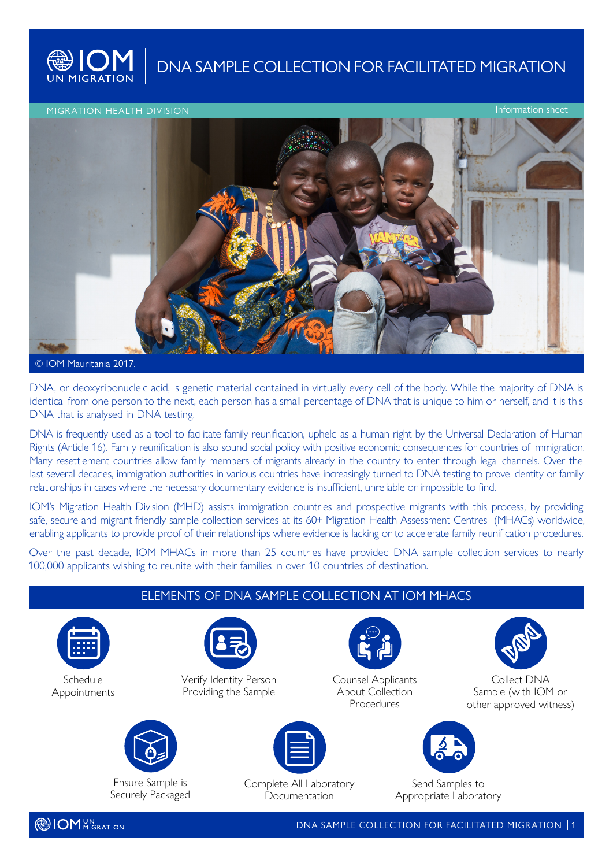

**WIOM** DNA SAMPLE COLLECTION FOR FACILITATED MIGRATION

Information sheet

## MIGRATION HEALTH DIVISION



## © IOM Mauritania 2017.

DNA, or deoxyribonucleic acid, is genetic material contained in virtually every cell of the body. While the majority of DNA is identical from one person to the next, each person has a small percentage of DNA that is unique to him or herself, and it is this DNA that is analysed in DNA testing.

DNA is frequently used as a tool to facilitate family reunification, upheld as a human right by the Universal Declaration of Human Rights (Article 16). Family reunification is also sound social policy with positive economic consequences for countries of immigration. Many resettlement countries allow family members of migrants already in the country to enter through legal channels. Over the last several decades, immigration authorities in various countries have increasingly turned to DNA testing to prove identity or family relationships in cases where the necessary documentary evidence is insufficient, unreliable or impossible to find.

IOM's Migration Health Division (MHD) assists immigration countries and prospective migrants with this process, by providing safe, secure and migrant-friendly sample collection services at its 60+ Migration Health Assessment Centres (MHACs) worldwide, enabling applicants to provide proof of their relationships where evidence is lacking or to accelerate family reunification procedures.

Over the past decade, IOM MHACs in more than 25 countries have provided DNA sample collection services to nearly 100,000 applicants wishing to reunite with their families in over 10 countries of destination.

| ELEMENTS OF DNA SAMPLE COLLECTION AT IOM MHACS |                                                |                                                     |                                                      |                                           |                                                               |
|------------------------------------------------|------------------------------------------------|-----------------------------------------------------|------------------------------------------------------|-------------------------------------------|---------------------------------------------------------------|
| 臝                                              |                                                |                                                     |                                                      |                                           |                                                               |
| Schedule<br>Appointments                       | Verify Identity Person<br>Providing the Sample |                                                     | Counsel Applicants<br>About Collection<br>Procedures |                                           | Collect DNA<br>Sample (with IOM or<br>other approved witness) |
|                                                |                                                | $ \equiv $                                          |                                                      |                                           |                                                               |
|                                                | Ensure Sample is<br>Securely Packaged          | Complete All Laboratory<br>Documentation            |                                                      | Send Samples to<br>Appropriate Laboratory |                                                               |
| <b>DOM</b> UN TION                             |                                                | DNA SAMPLE COLLECTION FOR FACILITATED MIGRATION   1 |                                                      |                                           |                                                               |